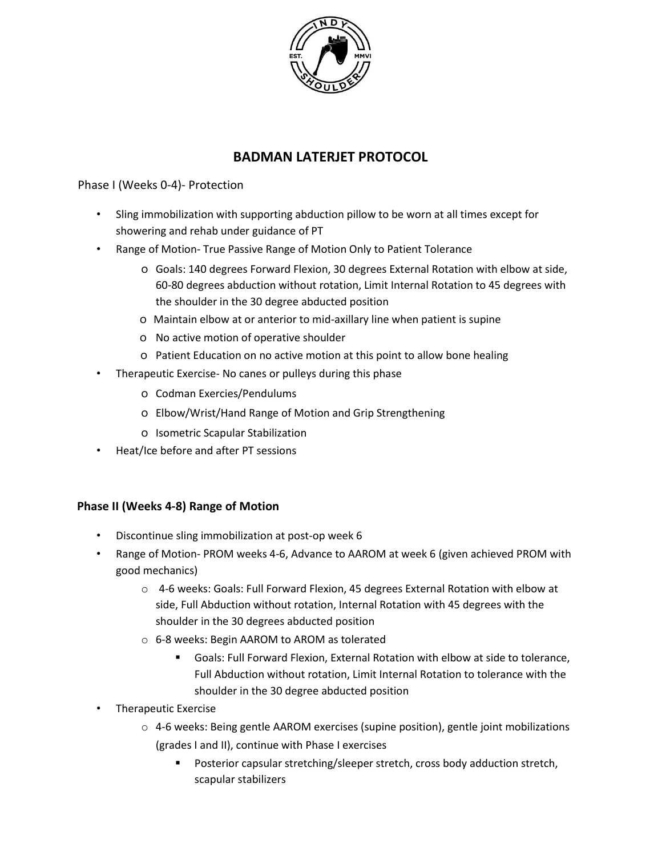

# **BADMAN LATERJET PROTOCOL**

### Phase I (Weeks 0-4)- Protection

- Sling immobilization with supporting abduction pillow to be worn at all times except for showering and rehab under guidance of PT
- Range of Motion- True Passive Range of Motion Only to Patient Tolerance
	- o Goals: 140 degrees Forward Flexion, 30 degrees External Rotation with elbow at side, 60-80 degrees abduction without rotation, Limit Internal Rotation to 45 degrees with the shoulder in the 30 degree abducted position
	- o Maintain elbow at or anterior to mid-axillary line when patient is supine
	- o No active motion of operative shoulder
	- o Patient Education on no active motion at this point to allow bone healing
- Therapeutic Exercise- No canes or pulleys during this phase
	- o Codman Exercies/Pendulums
	- o Elbow/Wrist/Hand Range of Motion and Grip Strengthening
	- o Isometric Scapular Stabilization
- Heat/Ice before and after PT sessions

#### **Phase II (Weeks 4-8) Range of Motion**

- Discontinue sling immobilization at post-op week 6
- Range of Motion- PROM weeks 4-6, Advance to AAROM at week 6 (given achieved PROM with good mechanics)
	- o 4-6 weeks: Goals: Full Forward Flexion, 45 degrees External Rotation with elbow at side, Full Abduction without rotation, Internal Rotation with 45 degrees with the shoulder in the 30 degrees abducted position
	- o 6-8 weeks: Begin AAROM to AROM as tolerated
		- Goals: Full Forward Flexion, External Rotation with elbow at side to tolerance, Full Abduction without rotation, Limit Internal Rotation to tolerance with the shoulder in the 30 degree abducted position
- Therapeutic Exercise
	- $\circ$  4-6 weeks: Being gentle AAROM exercises (supine position), gentle joint mobilizations (grades I and II), continue with Phase I exercises
		- Posterior capsular stretching/sleeper stretch, cross body adduction stretch, scapular stabilizers